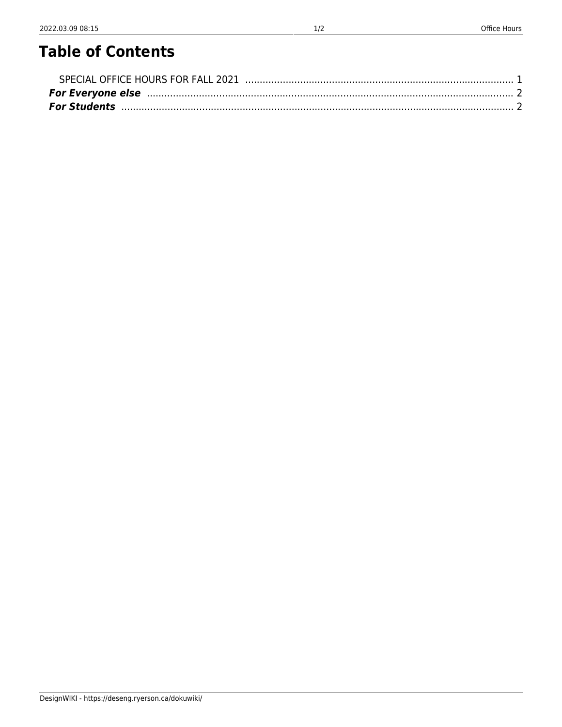## **Table of Contents**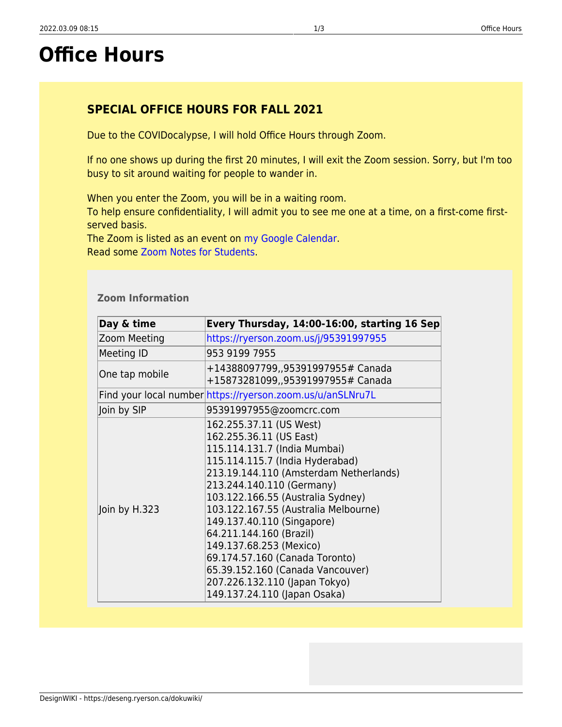# <span id="page-2-0"></span>**Office Hours**

### **SPECIAL OFFICE HOURS FOR FALL 2021**

Due to the COVIDocalypse, I will hold Office Hours through Zoom.

If no one shows up during the first 20 minutes, I will exit the Zoom session. Sorry, but I'm too busy to sit around waiting for people to wander in.

When you enter the Zoom, you will be in a waiting room.

To help ensure confidentiality, I will admit you to see me one at a time, on a first-come firstserved basis.

The Zoom is listed as an event on [my Google Calendar](https://calendar.google.com/calendar/u/1?cid=c2FsdXN0cmlAcnllcnNvbi5jYQ). Read some [Zoom Notes for Students.](https://docs.google.com/document/d/1vVLBYo0Kj3BJxfB8LvnVw9uJh8S0yZKIZoivn9ZWTtc/edit?usp=sharing)

#### **Zoom Information**

| Day & time     | Every Thursday, 14:00-16:00, starting 16 Sep                                                                                                                                                                                                                                                                                                                                                                                                                                                         |
|----------------|------------------------------------------------------------------------------------------------------------------------------------------------------------------------------------------------------------------------------------------------------------------------------------------------------------------------------------------------------------------------------------------------------------------------------------------------------------------------------------------------------|
| Zoom Meeting   | https://ryerson.zoom.us/j/95391997955                                                                                                                                                                                                                                                                                                                                                                                                                                                                |
| Meeting ID     | 953 9199 7955                                                                                                                                                                                                                                                                                                                                                                                                                                                                                        |
| One tap mobile | +14388097799,,95391997955# Canada<br>+15873281099,,95391997955# Canada                                                                                                                                                                                                                                                                                                                                                                                                                               |
|                | Find your local number https://ryerson.zoom.us/u/anSLNru7L                                                                                                                                                                                                                                                                                                                                                                                                                                           |
| Join by SIP    | 95391997955@zoomcrc.com                                                                                                                                                                                                                                                                                                                                                                                                                                                                              |
| Join by H.323  | 162.255.37.11 (US West)<br>162.255.36.11 (US East)<br>115.114.131.7 (India Mumbai)<br>115.114.115.7 (India Hyderabad)<br>213.19.144.110 (Amsterdam Netherlands)<br>213.244.140.110 (Germany)<br>103.122.166.55 (Australia Sydney)<br>103.122.167.55 (Australia Melbourne)<br>149.137.40.110 (Singapore)<br>64.211.144.160 (Brazil)<br>149.137.68.253 (Mexico)<br>69.174.57.160 (Canada Toronto)<br>65.39.152.160 (Canada Vancouver)<br>207.226.132.110 (Japan Tokyo)<br>149.137.24.110 (Japan Osaka) |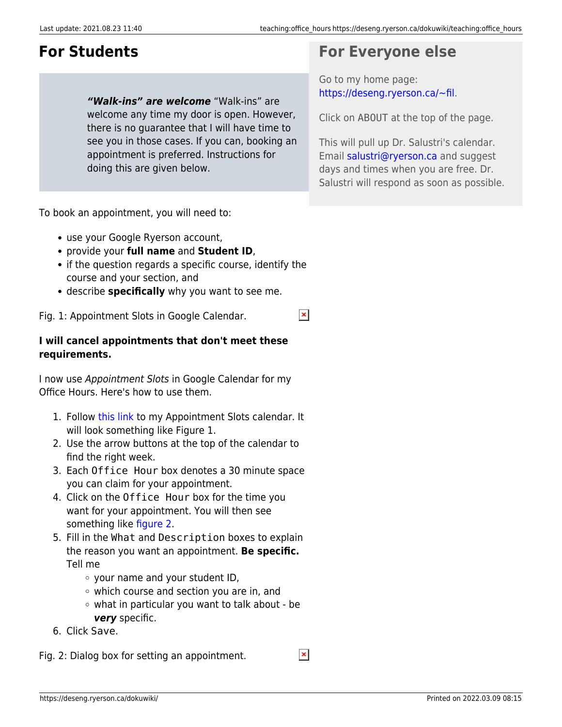# <span id="page-3-0"></span>**For Students**

*"Walk-ins" are welcome* "Walk-ins" are welcome any time my door is open. However, there is no guarantee that I will have time to see you in those cases. If you can, booking an appointment is preferred. Instructions for doing this are given below.

To book an appointment, you will need to:

- use your Google Ryerson account,
- provide your **full name** and **Student ID**,
- if the question regards a specific course, identify the course and your section, and

 $\pmb{\times}$ 

describe **specifically** why you want to see me.

Fig. 1: Appointment Slots in Google Calendar.

#### **I will cancel appointments that don't meet these requirements.**

I now use Appointment Slots in Google Calendar for my Office Hours. Here's how to use them.

- 1. Follow [this link](https://calendar.google.com/calendar/selfsched?sstoken=UU9NLUljaFFpZmxofGRlZmF1bHR8ZWNhMTljNWMxZmQyNDRlNjBkMjM5YjFiODYxNmE1Yjg) to my Appointment Slots calendar. It will look something like Figure 1.
- 2. Use the arrow buttons at the top of the calendar to find the right week.
- 3. Each Office Hour box denotes a 30 minute space you can claim for your appointment.
- 4. Click on the Office Hour box for the time you want for your appointment. You will then see something like [figure 2.](https://deseng.ryerson.ca/dokuwiki/teaching:office_hours#img_f2)
- 5. Fill in the What and Description boxes to explain the reason you want an appointment. **Be specific.** Tell me
	- your name and your student ID,
	- which course and section you are in, and
	- what in particular you want to talk about be *very* specific.
- 6. Click Save.

<span id="page-3-1"></span> $\pmb{\times}$ Fig. 2: Dialog box for setting an appointment.

### **For Everyone else**

Go to my home page: <https://deseng.ryerson.ca/~fil>.

Click on ABOUT at the top of the page.

This will pull up Dr. Salustri's calendar. Email [salustri@ryerson.ca](mailto:salustri@ryerson.ca) and suggest days and times when you are free. Dr. Salustri will respond as soon as possible.